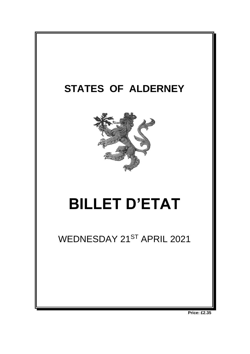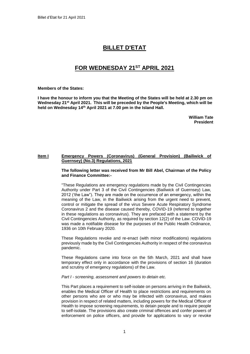# **BILLET D'ETAT**

## **FOR WEDNESDAY 21ST APRIL 2021**

#### **Members of the States:**

**I have the honour to inform you that the Meeting of the States will be held at 2.30 pm on Wednesday 21st April 2021. This will be preceded by the People's Meeting, which will be held on Wednesday 14 th April 2021 at 7.00 pm in the Island Hall.** 

> **William Tate President**

## **Item I Emergency Powers (Coronavirus) (General Provision) (Bailiwick of Guernsey) (No.3) Regulations, 2021**

**The following letter was received from Mr Bill Abel, Chairman of the Policy and Finance Committee:-**

"These Regulations are emergency regulations made by the Civil Contingencies Authority under Part 3 of the Civil Contingencies (Bailiwick of Guernsey) Law, 2012 ('the Law"). They are made on the occurrence of an emergency, within the meaning of the Law, in the Bailiwick arising from the urgent need to prevent, control or mitigate the spread of the virus Severe Acute Respiratory Syndrome Coronavirus 2 and the disease caused thereby, COVID-19 (referred to together in these regulations as coronavirus). They are prefaced with a statement by the Civil Contingencies Authority, as required by section 12(2) of the Law. COVID-19 was made a notifiable disease for the purposes of the Public Health Ordinance. 1936 on 10th February 2020.

These Regulations revoke and re-enact (with minor modifications) regulations previously made by the Civil Contingencies Authority in respect of the coronavirus pandemic.

These Regulations came into force on the 5th March, 2021 and shall have temporary effect only in accordance with the provisions of section 16 (duration and scrutiny of emergency regulations) of the Law.

#### *Part I - screening, assessment and powers to detain etc.*

This Part places a requirement to self-isolate on persons arriving in the Bailiwick, enables the Medical Officer of Health to place restrictions and requirements on other persons who are or who may be infected with coronavirus, and makes provision in respect of related matters, including powers for the Medical Officer of Health to impose screening requirements, to detain people and to require people to self-isolate. The provisions also create criminal offences and confer powers of enforcement on police officers, and provide for applications to vary or revoke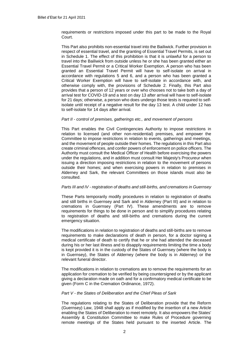requirements or restrictions imposed under this part to be made to the Royal **Court** 

This Part also prohibits non-essential travel into the Bailiwick. Further provision in respect of essential travel, and the granting of Essential Travel Permits, is set out in Schedule 1. The effect of this prohibition is that it is unlawful for a person to travel into the Bailiwick from outside unless he or she has been granted either an Essential Travel Permit or a Critical Worker Exemption. A person who has been granted an Essential Travel Permit will have to self-isolate on arrival in accordance with regulations 5 and 6, and a person who has been granted a Critical Worker Exemption will have to self-isolate in accordance with, and otherwise comply with, the provisions of Schedule 2. Finally, this Part also provides that a person of 12 years or over who chooses not to take both a day of arrival test for COVID-19 and a test on day 13 after arrival will have to self-isolate for 21 days; otherwise, a person who does undergo those tests is required to selfisolate until receipt of a negative result for the day 13 test. A child under 12 has to self-isolate for 14 days after arrival.

#### *Part II - control of premises, gatherings etc., and movement of persons*

This Part enables the Civil Contingencies Authority to impose restrictions in relation to licensed (and other non-residential) premises, and empower the Committee to impose restrictions in relation to events, gatherings and meetings, and the movement of people outside their homes. The regulations in this Part also create criminal offences, and confer powers of enforcement on police officers. The Authority must consult the Medical Officer of Health before exercising the powers under the regulations, and in addition must consult Her Majesty's Procureur when issuing a direction imposing restrictions in relation to the movement of persons outside their homes; and when exercising powers in relation to premises in Alderney and Sark, the relevant Committees on those islands must also be consulted.

## *Parts III and IV - registration of deaths and still-births, and cremations in Guernsey*

These Parts temporarily modify procedures in relation to registration of deaths and still births in Guernsey and Sark and in Alderney (Part III) and in relation to cremations in Guernsey (Part IV). These amendments are to remove requirements for things to be done in person and to simplify procedures relating to registration of deaths and still-births and cremations during the current emergency situation.

The modifications in relation to registration of deaths and still-births are to remove requirements to make declarations of death in person, for a doctor signing a medical certificate of death to certify that he or she had attended the deceased during his or her last illness and to disapply requirements limiting the time a body is kept provided it is in the custody of the States of Guernsey (where the body is in Guernsey), the States of Alderney (where the body is in Alderney) or the relevant funeral director.

The modifications in relation to cremations are to remove the requirements for an application for cremation to be verified by being countersigned or by the applicant giving a declaration made on oath and for a confirmatory medical certificate to be given (Form C in the Cremation Ordinance, 1972).

#### *Part V - the States of Deliberation and the Chief Pleas of Sark*

The regulations relating to the States of Deliberation provide that the Reform (Guernsey) Law, 1948 shall apply as if modified by the insertion of a new Article enabling the States of Deliberation to meet remotely. It also empowers the States' Assembly & Constitution Committee to make Rules of Procedure governing remote meetings of the States held pursuant to the inserted Article. The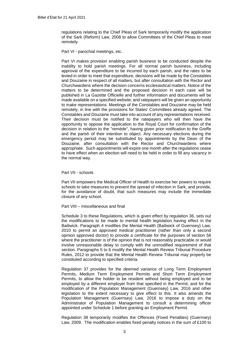regulations relating to the Chief Pleas of Sark temporarily modify the application of the Sark (Reform) Law, 2008 to allow Committees of the Chief Pleas to meet remotely.

Part VI - parochial meetings, etc.

Part VI makes provision enabling parish business to be conducted despite the inability to hold parish meetings. For all normal parish business, including approval of the expenditure to be incurred by each parish, and the rates to be levied in order to meet that expenditure, decisions will be made by the Constables and Douzaine in respect of all matters, but after consultation with the Rector and Churchwardens where the decision concerns ecclesiastical matters. Notice of the matters to be determined and the proposed decision in each case will be published in La Gazette Officielle and further information and documents will be made available on a specified website; and ratepayers will be given an opportunity to make representations. Meetings of the Constables and Douzaine may be held remotely, in line with the provisions for States' Committees already agreed. The Constables and Douzaine must take into account of any representations received. Their decision must be notified to the ratepayers who will then have the opportunity to oppose the application to the Royal Court for confirmation of the decision in relation to the "remède", having given prior notification to the Greffe and the parish of their intention to object. Any necessary elections during the emergency period may be substituted by appointments by the Dean of the Douzaine, after consultation with the Rector and Churchwardens where appropriate. Such appointments will expire one month after the regulations cease to have effect when an election will need to be held in order to fill any vacancy in the normal way.

Part VII - schools

Part VII empowers the Medical Officer of Health to exercise her powers to require schools to take measures to prevent the spread of infection in Sark, and provide, for the avoidance of doubt, that such measures may include the immediate closure of any school.

Part VIII – miscellaneous and final

Schedule 3 to these Regulations, which is given effect by regulation 36, sets out the modifications to be made to mental health legislation having effect in the Bailiwick. Paragraph 4 modifies the Mental Health (Bailiwick of Guernsey) Law, 2010 to permit an approved medical practitioner (rather than only a second opinion approved doctor) to provide a certificate for the purposes of section 56 where the practitioner is of the opinion that is not reasonably practicable or would involve unreasonable delay to comply with the unmodified requirement of that section. Paragraphs 5 to 6 modify the Mental Health Review Tribunal Procedure Rules, 2012 to provide that the Mental Health Review Tribunal may properly be constituted according to specified criteria.

Regulation 37 provides for the deemed variance of Long Term Employment Permits, Medium Term Employment Permits and Short Term Employment Permits, to allow the holder to be resident without being employed and to be employed by a different employer from that specified in the Permit; and for the modification of the Population Management (Guernsey) Law, 2016 and other legislation to the extent necessary to give effect to this. It also amends the Population Management (Guernsey) Law, 2016 to impose a duty on the Administrator of Population Management to consult a determining officer appointed under Schedule 1 before granting an Employment Permit.

Regulation 38 temporarily modifies the Offences (Fixed Penalties) (Guernsey) Law, 2009. The modification enables fixed penalty notices in the sum of £100 to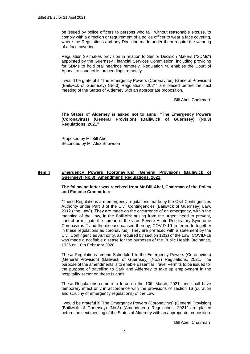be issued by police officers to persons who fail, without reasonable excuse, to comply with a direction or requirement of a police officer to wear a face covering, where the Regulations and any Direction made under them require the wearing of a face covering.

Regulation 39 makes provision in relation to Senior Decision Makers ("SDMs") appointed by the Guernsey Financial Services Commission, including providing for SDMs to hold oral hearings remotely. Regulation 40 enables the Court of Appeal to conduct its proceedings remotely.

I would be grateful if "The Emergency Powers (Coronavirus) (General Provision) (Bailiwick of Guernsey) (No.3) Regulations, 2021" are placed before the next meeting of the States of Alderney with an appropriate proposition.

Bill Abel, Chairman"

**The States of Alderney is asked not to annul "The Emergency Powers (Coronavirus) (General Provision) (Bailiwick of Guernsey) (No.3) Regulations, 2021"**

Proposed by Mr Bill Abel Seconded by Mr Alex Snowdon

## **Item II Emergency Powers (Coronavirus) (General Provision) (Bailiwick of Guernsey) (No.3) (Amendment) Regulations, 2021**

#### **The following letter was received from Mr Bill Abel, Chairman of the Policy and Finance Committee:-**

"These Regulations are emergency regulations made by the Civil Contingencies Authority under Part 3 of the Civil Contingencies (Bailiwick of Guernsey) Law, 2012 ('the Law"). They are made on the occurrence of an emergency, within the meaning of the Law, in the Bailiwick arising from the urgent need to prevent, control or mitigate the spread of the virus Severe Acute Respiratory Syndrome Coronavirus 2 and the disease caused thereby, COVID-19 (referred to together in these regulations as coronavirus). They are prefaced with a statement by the Civil Contingencies Authority, as required by section 12(2) of the Law. COVID-19 was made a notifiable disease for the purposes of the Public Health Ordinance, 1936 on 10th February 2020.

These Regulations amend Schedule I to the Emergency Powers (Coronavirus) (General Provision) (Bailiwick of Guernsey) (No.3) Regulations, 2021. The purpose of the amendments is to enable Essential Travel Permits to be issued for the purpose of travelling to Sark and Alderney to take up employment in the hospitality sector on those Islands.

These Regulations come into force on the 10th March, 2021, and shall have temporary effect only in accordance with the provisions of section 16 (duration and scrutiny of emergency regulations) of the Law.

I would be grateful if "The Emergency Powers (Coronavirus) (General Provision) (Bailiwick of Guernsey) (No.3) (Amendment) Regulations, 2021" are placed before the next meeting of the States of Alderney with an appropriate proposition.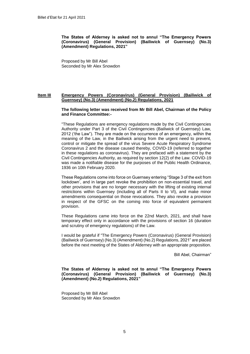**The States of Alderney is asked not to annul "The Emergency Powers (Coronavirus) (General Provision) (Bailiwick of Guernsey) (No.3) (Amendment) Regulations, 2021"**

Proposed by Mr Bill Abel Seconded by Mr Alex Snowdon

## **Item III Emergency Powers (Coronavirus) (General Provision) (Bailiwick of Guernsey) (No.3) (Amendment) (No.2) Regulations, 2021**

#### **The following letter was received from Mr Bill Abel, Chairman of the Policy and Finance Committee:-**

"These Regulations are emergency regulations made by the Civil Contingencies Authority under Part 3 of the Civil Contingencies (Bailiwick of Guernsey) Law, 2012 ('the Law"). They are made on the occurrence of an emergency, within the meaning of the Law, in the Bailiwick arising from the urgent need to prevent, control or mitigate the spread of the virus Severe Acute Respiratory Syndrome Coronavirus 2 and the disease caused thereby, COVID-19 (referred to together in these regulations as coronavirus). They are prefaced with a statement by the Civil Contingencies Authority, as required by section 12(2) of the Law. COVID-19 was made a notifiable disease for the purposes of the Public Health Ordinance, 1936 on 10th February 2020.

These Regulations come into force on Guernsey entering "Stage 3 of the exit from Iockdown', and in large part revoke the prohibition on non-essential travel, and other provisions that are no longer necessary with the lifting of existing internal restrictions within Guernsey (including all of Parts II to VI), and make minor amendments consequential on those revocations. They also revoke a provision in respect of the GFSC on the coming into force of equivalent permanent provision.

These Regulations came into force on the 22nd March, 2021, and shall have temporary effect only in accordance with the provisions of section 16 (duration and scrutiny of emergency regulations) of the Law.

I would be grateful if "The Emergency Powers (Coronavirus) (General Provision) (Bailiwick of Guernsey) (No.3) (Amendment) (No.2) Regulations, 2021" are placed before the next meeting of the States of Alderney with an appropriate proposition.

Bill Abel, Chairman"

**The States of Alderney is asked not to annul "The Emergency Powers (Coronavirus) (General Provision) (Bailiwick of Guernsey) (No.3) (Amendment) (No.2) Regulations, 2021"**

Proposed by Mr Bill Abel Seconded by Mr Alex Snowdon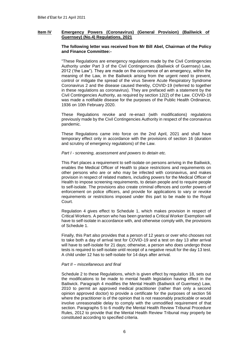## **Item IV Emergency Powers (Coronavirus) (General Provision) (Bailiwick of Guernsey) (No.4) Regulations, 2021**

#### **The following letter was received from Mr Bill Abel, Chairman of the Policy and Finance Committee:-**

"These Regulations are emergency regulations made by the Civil Contingencies Authority under Part 3 of the Civil Contingencies (Bailiwick of Guernsey) Law, 2012 ('the Law"). They are made on the occurrence of an emergency, within the meaning of the Law, in the Bailiwick arising from the urgent need to prevent, control or mitigate the spread of the virus Severe Acute Respiratory Syndrome Coronavirus 2 and the disease caused thereby, COVID-19 (referred to together in these regulations as coronavirus). They are prefaced with a statement by the Civil Contingencies Authority, as required by section 12(2) of the Law. COVID-19 was made a notifiable disease for the purposes of the Public Health Ordinance, 1936 on 10th February 2020.

These Regulations revoke and re-enact (with modifications) regulations previously made by the Civil Contingencies Authority in respect of the coronavirus pandemic.

These Regulations came into force on the 2nd April, 2021 and shall have temporary effect only in accordance with the provisions of section 16 (duration and scrutiny of emergency regulations) of the Law.

## *Part I - screening, assessment and powers to detain etc.*

This Part places a requirement to self-isolate on persons arriving in the Bailiwick, enables the Medical Officer of Health to place restrictions and requirements on other persons who are or who may be infected with coronavirus, and makes provision in respect of related matters, including powers for the Medical Officer of Health to impose screening requirements, to detain people and to require people to self-isolate. The provisions also create criminal offences and confer powers of enforcement on police officers, and provide for applications to vary or revoke requirements or restrictions imposed under this part to be made to the Royal Court.

Regulation 4 gives effect to Schedule 1, which makes provision in respect of Critical Workers. A person who has been granted a Critical Worker Exemption will have to self-isolate in accordance with, and otherwise comply with, the provisions of Schedule 1.

Finally, this Part also provides that a person of 12 years or over who chooses not to take both a day of arrival test for COVID-19 and a test on day 13 after arrival will have to self-isolate for 21 days; otherwise, a person who does undergo those tests is required to self-isolate until receipt of a negative result for the day 13 test. A child under 12 has to self-isolate for 14 days after arrival.

## *Part II – miscellaneous and final*

Schedule 2 to these Regulations, which is given effect by regulation 18, sets out the modifications to be made to mental health legislation having effect in the Bailiwick. Paragraph 4 modifies the Mental Health (Bailiwick of Guernsey) Law, 2010 to permit an approved medical practitioner (rather than only a second opinion approved doctor) to provide a certificate for the purposes of section 56 where the practitioner is of the opinion that is not reasonably practicable or would involve unreasonable delay to comply with the unmodified requirement of that section. Paragraphs 5 to 6 modify the Mental Health Review Tribunal Procedure Rules, 2012 to provide that the Mental Health Review Tribunal may properly be constituted according to specified criteria.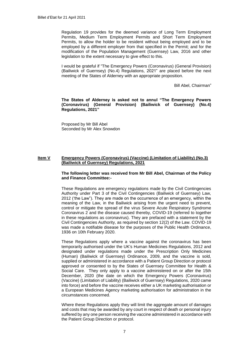Regulation 19 provides for the deemed variance of Long Term Employment Permits, Medium Term Employment Permits and Short Term Employment Permits, to allow the holder to be resident without being employed and to be employed by a different employer from that specified in the Permit; and for the modification of the Population Management (Guernsey) Law, 2016 and other legislation to the extent necessary to give effect to this.

I would be grateful if "The Emergency Powers (Coronavirus) (General Provision) (Bailiwick of Guernsey) (No.4) Regulations, 2021" are placed before the next meeting of the States of Alderney with an appropriate proposition.

Bill Abel, Chairman"

**The States of Alderney is asked not to annul "The Emergency Powers (Coronavirus) (General Provision) (Bailiwick of Guernsey) (No.4) Regulations, 2021"**

Proposed by Mr Bill Abel Seconded by Mr Alex Snowdon

## **Item V Emergency Powers (Coronavirus) (Vaccine) (Limitation of Liability) (No.3) (Bailiwick of Guernsey) Regulations, 2021**

## **The following letter was received from Mr Bill Abel, Chairman of the Policy and Finance Committee:-**

These Regulations are emergency regulations made by the Civil Contingencies Authority under Part 3 of the Civil Contingencies (Bailiwick of Guernsey) Law, 2012 ('the Law"). They are made on the occurrence of an emergency, within the meaning of the Law, in the Bailiwick arising from the urgent need to prevent, control or mitigate the spread of the virus Severe Acute Respiratory Syndrome Coronavirus 2 and the disease caused thereby, COVID-19 (referred to together in these regulations as coronavirus). They are prefaced with a statement by the Civil Contingencies Authority, as required by section 12(2) of the Law. COVID-19 was made a notifiable disease for the purposes of the Public Health Ordinance, 1936 on 10th February 2020.

These Regulations apply where a vaccine against the coronavirus has been temporarily authorised under the UK's Human Medicines Regulations, 2012 and designated under regulations made under the Prescription Only Medicines (Human) (Bailiwick of Guernsey) Ordinance, 2009, and the vaccine is sold, supplied or administered in accordance with a Patient Group Direction or protocol approved or consented to by the States of Guernsey Committee for Health & Social Care. They only apply to a vaccine administered on or after the 15th December, 2020 (the date on which the Emergency Powers (Coronavirus) (Vaccine) (Limitation of Liability) (Bailiwick of Guernsey) Regulations, 2020 came into force) and before the vaccine receives either a UK marketing authorisation or a European Medicines Agency marketing authorisation for administration in the circumstances concerned.

Where these Regulations apply they will limit the aggregate amount of damages and costs that may be awarded by any court in respect of death or personal injury suffered by any one person receiving the vaccine administered in accordance with the Patient Group Direction or protocol.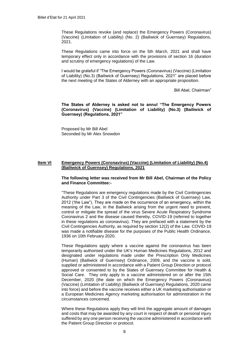These Regulations revoke (and replace) the Emergency Powers (Coronavirus) (Vaccine) (Limitation of Liability) (No. 2) (Bailiwick of Guernsey) Regulations, 2021.

These Regulations came into force on the 5th March, 2021 and shall have temporary effect only in accordance with the provisions of section 16 (duration and scrutiny of emergency regulations) of the Law.

I would be grateful if "The Emergency Powers (Coronavirus) (Vaccine) (Limitation of Liability) (No.3) (Bailiwick of Guernsey) Regulations, 2021" are placed before the next meeting of the States of Alderney with an appropriate proposition.

Bill Abel, Chairman"

**The States of Alderney is asked not to annul "The Emergency Powers (Coronavirus) (Vaccine) (Limitation of Liability) (No.3) (Bailiwick of Guernsey) (Regulations, 2021"**

Proposed by Mr Bill Abel Seconded by Mr Alex Snowdon

## **Item VI Emergency Powers (Coronavirus) (Vaccine) (Limitation of Liability) (No.4) (Bailiwick of Guernsey) Regulations, 2021**

#### **The following letter was received from Mr Bill Abel, Chairman of the Policy and Finance Committee:-**

"These Regulations are emergency regulations made by the Civil Contingencies Authority under Part 3 of the Civil Contingencies (Bailiwick of Guernsey) Law, 2012 ('the Law"). They are made on the occurrence of an emergency, within the meaning of the Law, in the Bailiwick arising from the urgent need to prevent, control or mitigate the spread of the virus Severe Acute Respiratory Syndrome Coronavirus 2 and the disease caused thereby, COVID-19 (referred to together in these regulations as coronavirus). They are prefaced with a statement by the Civil Contingencies Authority, as required by section 12(2) of the Law. COVID-19 was made a notifiable disease for the purposes of the Public Health Ordinance, 1936 on 10th February 2020.

These Regulations apply where a vaccine against the coronavirus has been temporarily authorised under the UK's Human Medicines Regulations, 2012 and designated under regulations made under the Prescription Only Medicines (Human) (Bailiwick of Guernsey) Ordinance, 2009, and the vaccine is sold, supplied or administered in accordance with a Patient Group Direction or protocol approved or consented to by the States of Guernsey Committee for Health & Social Care. They only apply to a vaccine administered on or after the 15th December, 2020 (the date on which the Emergency Powers (Coronavirus) (Vaccine) (Limitation of Liability) (Bailiwick of Guernsey) Regulations, 2020 came into force) and before the vaccine receives either a UK marketing authorisation or a European Medicines Agency marketing authorisation for administration in the circumstances concerned.

Where these Regulations apply they will limit the aggregate amount of damages and costs that may be awarded by any court in respect of death or personal injury suffered by any one person receiving the vaccine administered in accordance with the Patient Group Direction or protocol.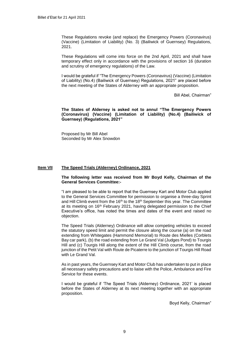These Regulations revoke (and replace) the Emergency Powers (Coronavirus) (Vaccine) (Limitation of Liability) (No. 3) (Bailiwick of Guernsey) Regulations, 2021.

These Regulations will come into force on the 2nd April, 2021 and shall have temporary effect only in accordance with the provisions of section 16 (duration and scrutiny of emergency regulations) of the Law.

I would be grateful if "The Emergency Powers (Coronavirus) (Vaccine) (Limitation of Liability) (No.4) (Bailiwick of Guernsey) Regulations, 2021" are placed before the next meeting of the States of Alderney with an appropriate proposition.

Bill Abel, Chairman"

**The States of Alderney is asked not to annul "The Emergency Powers (Coronavirus) (Vaccine) (Limitation of Liability) (No.4) (Bailiwick of Guernsey) (Regulations, 2021"**

Proposed by Mr Bill Abel Seconded by Mr Alex Snowdon

## **Item VII The Speed Trials (Alderney) Ordinance, 2021**

### **The following letter was received from Mr Boyd Kelly, Chairman of the General Services Committee:-**

"I am pleased to be able to report that the Guernsey Kart and Motor Club applied to the General Services Committee for permission to organise a three-day Sprint and Hill Climb event from the 16<sup>th</sup> to the 18<sup>th</sup> September this year. The Committee at its meeting on  $16<sup>th</sup>$  February 2021, having delegated permission to the Chief Executive's office, has noted the times and dates of the event and raised no objection.

The Speed Trials (Alderney) Ordinance will allow competing vehicles to exceed the statutory speed limit and permit the closure along the course (a) on the road extending from Whitegates (Hammond Memorial) to Route des Mielles (Corblets Bay car park), (b) the road extending from Le Grand Val (Judges Pond) to Tourgis Hill and (c) Tourgis Hill along the extent of the Hill Climb course, from the road junction of the Petit Val with Route de Picaterre to the junction of Tourgis Hill Road with Le Grand Val.

As in past years, the Guernsey Kart and Motor Club has undertaken to put in place all necessary safety precautions and to liaise with the Police, Ambulance and Fire Service for these events.

I would be grateful if 'The Speed Trials (Alderney) Ordinance, 2021' is placed before the States of Alderney at its next meeting together with an appropriate proposition.

Boyd Kelly, Chairman"